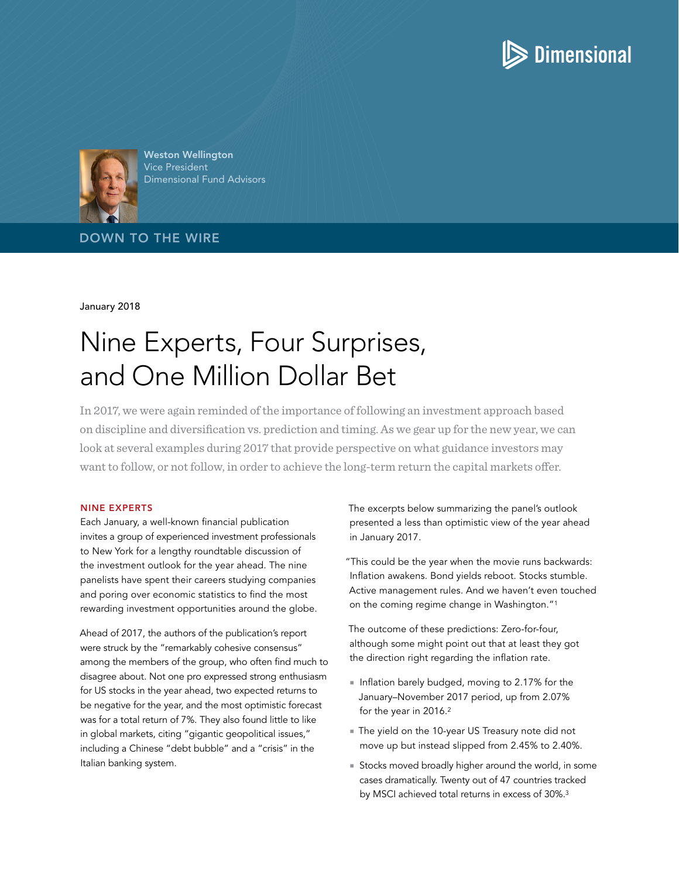



Weston Wellington Vice President Dimensional Fund Advisors

DOWN TO THE WIRE

January 2018

# Nine Experts, Four Surprises, and One Million Dollar Bet

In 2017, we were again reminded of the importance of following an investment approach based on discipline and diversification vs. prediction and timing. As we gear up for the new year, we can look at several examples during 2017 that provide perspective on what guidance investors may want to follow, or not follow, in order to achieve the long-term return the capital markets offer.

#### NINE EXPERTS

Each January, a well-known financial publication invites a group of experienced investment professionals to New York for a lengthy roundtable discussion of the investment outlook for the year ahead. The nine panelists have spent their careers studying companies and poring over economic statistics to find the most rewarding investment opportunities around the globe.

Ahead of 2017, the authors of the publication's report were struck by the "remarkably cohesive consensus" among the members of the group, who often find much to disagree about. Not one pro expressed strong enthusiasm for US stocks in the year ahead, two expected returns to be negative for the year, and the most optimistic forecast was for a total return of 7%. They also found little to like in global markets, citing "gigantic geopolitical issues," including a Chinese "debt bubble" and a "crisis" in the Italian banking system.

The excerpts below summarizing the panel's outlook presented a less than optimistic view of the year ahead in January 2017.

"This could be the year when the movie runs backwards: Inflation awakens. Bond yields reboot. Stocks stumble. Active management rules. And we haven't even touched on the coming regime change in Washington."1

The outcome of these predictions: Zero-for-four, although some might point out that at least they got the direction right regarding the inflation rate.

- Inflation barely budged, moving to 2.17% for the January–November 2017 period, up from 2.07% for the year in 2016.2
- The yield on the 10-year US Treasury note did not move up but instead slipped from 2.45% to 2.40%.
- Stocks moved broadly higher around the world, in some cases dramatically. Twenty out of 47 countries tracked by MSCI achieved total returns in excess of 30%.3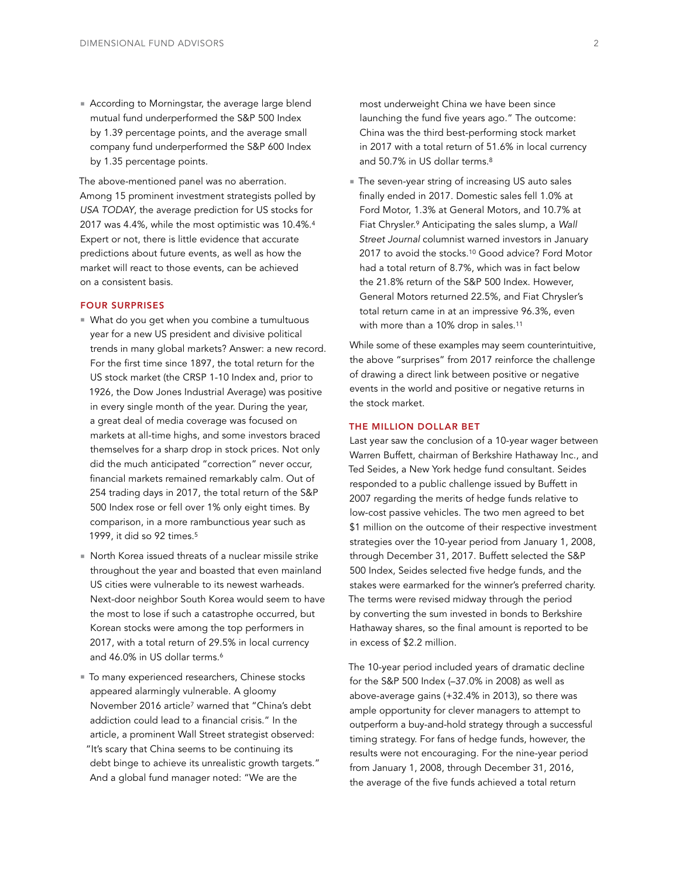■ According to Morningstar, the average large blend mutual fund underperformed the S&P 500 Index by 1.39 percentage points, and the average small company fund underperformed the S&P 600 Index by 1.35 percentage points.

The above-mentioned panel was no aberration. Among 15 prominent investment strategists polled by *USA TODAY*, the average prediction for US stocks for 2017 was 4.4%, while the most optimistic was 10.4%.4 Expert or not, there is little evidence that accurate predictions about future events, as well as how the market will react to those events, can be achieved on a consistent basis.

## FOUR SURPRISES

- What do you get when you combine a tumultuous year for a new US president and divisive political trends in many global markets? Answer: a new record. For the first time since 1897, the total return for the US stock market (the CRSP 1-10 Index and, prior to 1926, the Dow Jones Industrial Average) was positive in every single month of the year. During the year, a great deal of media coverage was focused on markets at all-time highs, and some investors braced themselves for a sharp drop in stock prices. Not only did the much anticipated "correction" never occur, financial markets remained remarkably calm. Out of 254 trading days in 2017, the total return of the S&P 500 Index rose or fell over 1% only eight times. By comparison, in a more rambunctious year such as 1999, it did so 92 times.5
- <sup>n</sup> North Korea issued threats of a nuclear missile strike throughout the year and boasted that even mainland US cities were vulnerable to its newest warheads. Next-door neighbor South Korea would seem to have the most to lose if such a catastrophe occurred, but Korean stocks were among the top performers in 2017, with a total return of 29.5% in local currency and 46.0% in US dollar terms.<sup>6</sup>
- $\blacksquare$  To many experienced researchers, Chinese stocks appeared alarmingly vulnerable. A gloomy November 2016 article7 warned that "China's debt addiction could lead to a financial crisis." In the article, a prominent Wall Street strategist observed: "It's scary that China seems to be continuing its debt binge to achieve its unrealistic growth targets." And a global fund manager noted: "We are the

most underweight China we have been since launching the fund five years ago." The outcome: China was the third best-performing stock market in 2017 with a total return of 51.6% in local currency and 50.7% in US dollar terms.<sup>8</sup>

■ The seven-year string of increasing US auto sales finally ended in 2017. Domestic sales fell 1.0% at Ford Motor, 1.3% at General Motors, and 10.7% at Fiat Chrysler.9 Anticipating the sales slump, a *Wall Street Journal* columnist warned investors in January 2017 to avoid the stocks.<sup>10</sup> Good advice? Ford Motor had a total return of 8.7%, which was in fact below the 21.8% return of the S&P 500 Index. However, General Motors returned 22.5%, and Fiat Chrysler's total return came in at an impressive 96.3%, even with more than a 10% drop in sales.<sup>11</sup>

While some of these examples may seem counterintuitive, the above "surprises" from 2017 reinforce the challenge of drawing a direct link between positive or negative events in the world and positive or negative returns in the stock market.

#### THE MILLION DOLLAR BET

Last year saw the conclusion of a 10-year wager between Warren Buffett, chairman of Berkshire Hathaway Inc., and Ted Seides, a New York hedge fund consultant. Seides responded to a public challenge issued by Buffett in 2007 regarding the merits of hedge funds relative to low-cost passive vehicles. The two men agreed to bet \$1 million on the outcome of their respective investment strategies over the 10-year period from January 1, 2008, through December 31, 2017. Buffett selected the S&P 500 Index, Seides selected five hedge funds, and the stakes were earmarked for the winner's preferred charity. The terms were revised midway through the period by converting the sum invested in bonds to Berkshire Hathaway shares, so the final amount is reported to be in excess of \$2.2 million.

The 10-year period included years of dramatic decline for the S&P 500 Index (–37.0% in 2008) as well as above-average gains (+32.4% in 2013), so there was ample opportunity for clever managers to attempt to outperform a buy-and-hold strategy through a successful timing strategy. For fans of hedge funds, however, the results were not encouraging. For the nine-year period from January 1, 2008, through December 31, 2016, the average of the five funds achieved a total return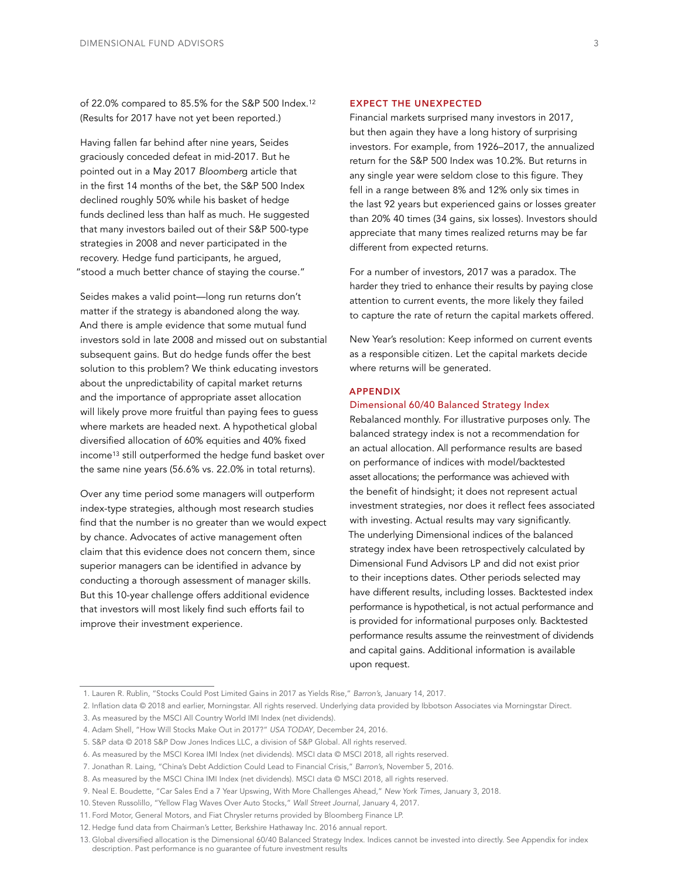of 22.0% compared to 85.5% for the S&P 500 Index.12 (Results for 2017 have not yet been reported.)

Having fallen far behind after nine years, Seides graciously conceded defeat in mid-2017. But he pointed out in a May 2017 *Bloomber*g article that in the first 14 months of the bet, the S&P 500 Index declined roughly 50% while his basket of hedge funds declined less than half as much. He suggested that many investors bailed out of their S&P 500-type strategies in 2008 and never participated in the recovery. Hedge fund participants, he argued, "stood a much better chance of staying the course."

Seides makes a valid point—long run returns don't matter if the strategy is abandoned along the way. And there is ample evidence that some mutual fund investors sold in late 2008 and missed out on substantial subsequent gains. But do hedge funds offer the best solution to this problem? We think educating investors about the unpredictability of capital market returns and the importance of appropriate asset allocation will likely prove more fruitful than paying fees to guess where markets are headed next. A hypothetical global diversified allocation of 60% equities and 40% fixed income<sup>13</sup> still outperformed the hedge fund basket over the same nine years (56.6% vs. 22.0% in total returns).

Over any time period some managers will outperform index-type strategies, although most research studies find that the number is no greater than we would expect by chance. Advocates of active management often claim that this evidence does not concern them, since superior managers can be identified in advance by conducting a thorough assessment of manager skills. But this 10-year challenge offers additional evidence that investors will most likely find such efforts fail to improve their investment experience.

## EXPECT THE UNEXPECTED

Financial markets surprised many investors in 2017, but then again they have a long history of surprising investors. For example, from 1926–2017, the annualized return for the S&P 500 Index was 10.2%. But returns in any single year were seldom close to this figure. They fell in a range between 8% and 12% only six times in the last 92 years but experienced gains or losses greater than 20% 40 times (34 gains, six losses). Investors should appreciate that many times realized returns may be far different from expected returns.

For a number of investors, 2017 was a paradox. The harder they tried to enhance their results by paying close attention to current events, the more likely they failed to capture the rate of return the capital markets offered.

New Year's resolution: Keep informed on current events as a responsible citizen. Let the capital markets decide where returns will be generated.

### APPENDIX

#### Dimensional 60/40 Balanced Strategy Index

Rebalanced monthly. For illustrative purposes only. The balanced strategy index is not a recommendation for an actual allocation. All performance results are based on performance of indices with model/backtested asset allocations; the performance was achieved with the benefit of hindsight; it does not represent actual investment strategies, nor does it reflect fees associated with investing. Actual results may vary significantly. The underlying Dimensional indices of the balanced strategy index have been retrospectively calculated by Dimensional Fund Advisors LP and did not exist prior to their inceptions dates. Other periods selected may have different results, including losses. Backtested index performance is hypothetical, is not actual performance and is provided for informational purposes only. Backtested performance results assume the reinvestment of dividends and capital gains. Additional information is available upon request.

<sup>1.</sup> Lauren R. Rublin, "Stocks Could Post Limited Gains in 2017 as Yields Rise," *Barron's*, January 14, 2017.

<sup>2.</sup> Inflation data © 2018 and earlier, Morningstar. All rights reserved. Underlying data provided by Ibbotson Associates via Morningstar Direct.

<sup>3.</sup> As measured by the MSCI All Country World IMI Index (net dividends).

<sup>4.</sup> Adam Shell, "How Will Stocks Make Out in 2017?" *USA TODAY*, December 24, 2016.

<sup>5.</sup> S&P data © 2018 S&P Dow Jones Indices LLC, a division of S&P Global. All rights reserved.

<sup>6.</sup> As measured by the MSCI Korea IMI Index (net dividends). MSCI data © MSCI 2018, all rights reserved.

<sup>7.</sup> Jonathan R. Laing, "China's Debt Addiction Could Lead to Financial Crisis," *Barron's*, November 5, 2016.

<sup>8.</sup> As measured by the MSCI China IMI Index (net dividends). MSCI data © MSCI 2018, all rights reserved.

<sup>9.</sup> Neal E. Boudette, "Car Sales End a 7 Year Upswing, With More Challenges Ahead," *New York Times*, January 3, 2018.

<sup>10.</sup> Steven Russolillo, "Yellow Flag Waves Over Auto Stocks," *Wall Street Journal*, January 4, 2017.

<sup>11.</sup> Ford Motor, General Motors, and Fiat Chrysler returns provided by Bloomberg Finance LP.

<sup>12.</sup> Hedge fund data from Chairman's Letter, Berkshire Hathaway Inc. 2016 annual report.

<sup>13.</sup> Global diversified allocation is the Dimensional 60/40 Balanced Strategy Index. Indices cannot be invested into directly. See Appendix for index description. Past performance is no guarantee of future investment results